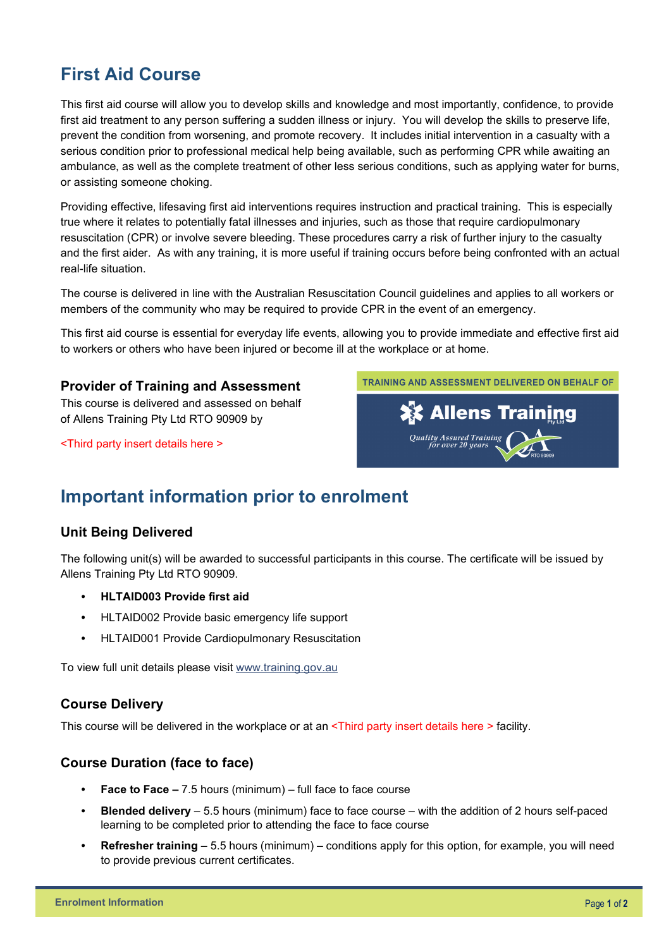# **First Aid Course**

This first aid course will allow you to develop skills and knowledge and most importantly, confidence, to provide first aid treatment to any person suffering a sudden illness or injury. You will develop the skills to preserve life, prevent the condition from worsening, and promote recovery. It includes initial intervention in a casualty with a serious condition prior to professional medical help being available, such as performing CPR while awaiting an ambulance, as well as the complete treatment of other less serious conditions, such as applying water for burns, or assisting someone choking.

Providing effective, lifesaving first aid interventions requires instruction and practical training. This is especially true where it relates to potentially fatal illnesses and injuries, such as those that require cardiopulmonary resuscitation (CPR) or involve severe bleeding. These procedures carry a risk of further injury to the casualty and the first aider. As with any training, it is more useful if training occurs before being confronted with an actual real-life situation.

The course is delivered in line with the Australian Resuscitation Council guidelines and applies to all workers or members of the community who may be required to provide CPR in the event of an emergency.

This first aid course is essential for everyday life events, allowing you to provide immediate and effective first aid to workers or others who have been injured or become ill at the workplace or at home.

#### **Provider of Training and Assessment**

This course is delivered and assessed on behalf of Allens Training Pty Ltd RTO 90909 by

<Third party insert details here >



## **Important information prior to enrolment**

#### **Unit Being Delivered**

The following unit(s) will be awarded to successful participants in this course. The certificate will be issued by Allens Training Pty Ltd RTO 90909.

- **HLTAID003 Provide first aid**
- HLTAID002 Provide basic emergency life support
- HLTAID001 Provide Cardiopulmonary Resuscitation

To view full unit details please visit [www.training.gov.au](https://training.gov.au/Training/Details/HLTAID001) 

#### **Course Delivery**

This course will be delivered in the workplace or at an <Third party insert details here > facility.

#### **Course Duration (face to face)**

- **Face to Face –** 7.5 hours (minimum) full face to face course
- **Blended delivery** 5.5 hours (minimum) face to face course with the addition of 2 hours self-paced learning to be completed prior to attending the face to face course
- **Refresher training** 5.5 hours (minimum) conditions apply for this option, for example, you will need to provide previous current certificates.